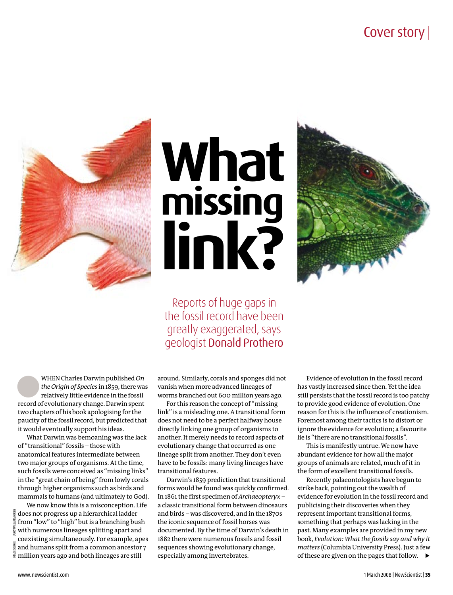

# **What missing link?**



Reports of huge gaps in the fossil record have been greatly exaggerated, says geologist Donald Prothero

lWHEN Charles Darwin published *On the Origin of Species* in 1859, there was relatively little evidence in the fossil record of evolutionary change. Darwin spent two chapters of his book apologising for the paucity of the fossil record, but predicted that it would eventually support his ideas.

What Darwin was bemoaning was the lack of "transitional" fossils – those with anatomical features intermediate between two major groups of organisms. At the time, such fossils were conceived as "missing links" in the "great chain of being" from lowly corals through higher organisms such as birds and mammals to humans (and ultimately to God).

We now know this is a misconception. Life does not progress up a hierarchical ladder from "low" to "high" but is a branching bush with numerous lineages splitting apart and coexisting simultaneously. For example, apes and humans split from a common ancestor 7  $\frac{3}{2}$  million years ago and both lineages are still

around. Similarly, corals and sponges did not vanish when more advanced lineages of worms branched out 600 million years ago.

For this reason the concept of "missing link" is a misleading one. A transitional form does not need to be a perfect halfway house directly linking one group of organisms to another. It merely needs to record aspects of evolutionary change that occurred as one lineage split from another. They don't even have to be fossils: many living lineages have transitional features.

Darwin's 1859 prediction that transitional forms would be found was quickly confirmed. In 1861 the first specimen of *Archaeopteryx* – a classic transitional form between dinosaurs and birds – was discovered, and in the 1870s the iconic sequence of fossil horses was documented. By the time of Darwin's death in 1882 there were numerous fossils and fossil sequences showing evolutionary change, especially among invertebrates.

Evidence of evolution in the fossil record has vastly increased since then. Yet the idea still persists that the fossil record is too patchy to provide good evidence of evolution. One reason for this is the influence of creationism. Foremost among their tactics is to distort or ignore the evidence for evolution; a favourite lie is "there are no transitional fossils".

This is manifestly untrue. We now have abundant evidence for how all the major groups of animals are related, much of it in the form of excellent transitional fossils.

Recently palaeontologists have begun to strike back, pointing out the wealth of evidence for evolution in the fossil record and publicising their discoveries when they represent important transitional forms, something that perhaps was lacking in the past. Many examples are provided in my new book, *Evolution: What the fossils say and why it matters* (Columbia University Press). Just a few of these are given on the pages that follow.

image source

larry williams/corbis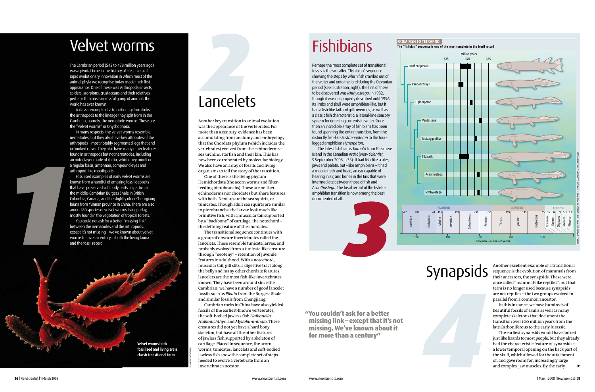Perhaps the most complete set of transitional fossils is the so-called "fishibian" sequence showing the steps by which fish crawled out of the water and onto the land during the Devonian period (see Illustration, right). The first of these to be discovered was *Ichthyostega*, in 1932, though it was not properly described until 1996. Its limbs and skull were amphibian-like, but it had a fish-like tail and gill coverings, as well as a classic fish characteristic: a lateral-line sensory system for detecting currents in water. Since then an incredible array of fishibians has been found spanning the entire transition, from the distinctly fish-like *Eusthenopteron* to the fourlegged amphibian *Hynerpeton*.

The latest fishibian is *Tiktaalik* from Ellesmere Island in the Canadian Arctic (*New Scientist*, 9 September 2006, p 35). It had fish-like scales, jaws and palate, but – like amphibians – it had a mobile neck and head, an ear capable of hearing in air, and bones in the fins that were intermediate between those of fish and *Acanthostega*. The fossil record of the fish-toamphibian transition is now among the best documented of all.

Another key transition in animal evolution was the appearance of the vertebrates. For more than a century, evidence has been accumulating from anatomy and embryology that the Chordata phylum (which includes the vertebrates) evolved from the echinoderms – sea urchins, starfish and their kin. This has now been corroborated by molecular biology. We also have an array of fossils and living organisms to tell the story of the transition.

One of these is the living phylum Hemichordata (the acorn worms and filterfeeding pterobranchs). These are neither echinoderms nor chordates but share features with both. Next up are the sea squirts, or tunicates. Though adult sea squirts are similar to pterobranchs, the larvae look much like primitive fish, with a muscular tail supported by a "backbone" of cartilage, the notochord – the defining feature of the chordates.

The transitional sequence continues with a group of obscure invertebrates called the lancelets. These resemble tunicate larvae, and probably evolved from a tunicate-like creature through "neoteny" – retention of juvenile features in adulthood. With a notochord, muscular tail, gill slits, a digestive tract along the belly and many other chordate features, lancelets are the most fish-like invertebrates known. They have been around since the Cambrian: we have a number of good lancelet fossils such as *Pikaia* from the Burgess Shale and similar fossils from Chengjiang.

Cambrian rocks in China have also yielded fossils of the earliest-known vertebrates, the soft-bodied jawless fish *Haikouella, Haikouichthys*, and *Myllokunmingia*. These creatures did not yet have a hard bony skeleton, but have all the other features of jawless fish supported by a skeleton of cartilage. Placed in sequence, the acorn worms, tunicates, lancelets and soft-bodied jawless fish show the complete set of steps needed to evolve a vertebrate from an invertebrate ancestor.

You could not ask for a better "missing link" between the nematodes and the arthropods, except it's not missing – we've known about velvet worms for over a century in both the living fauna and the fossil record.

### Fishibians





o. louis mazzatenta/ngs



Another excellent example of a transitional sequence is the evolution of mammals from their ancestors, the synapsids. These were once called "mammal-like reptiles", but that term is no longer used because synapsids are not reptiles – the two groups evolved in parallel from a common ancestor.

In this instance, we have hundreds of beautiful fossils of skulls as well as many complete skeletons that document the transition over 100 million years from the late Carboniferous to the early Jurassic.

The earliest synapsids would have looked just like lizards to most people, but they already had the characteristic feature of synapsids – a lower temporal opening on the back part of the skull, which allowed for the attachment of, and gave room for, increasingly large and complex jaw muscles. By the early

# Synapsids

**42 You couldn't ask for a better missing link – except that it's not missing. We've known about it for more than a century"**  $\sum_{\text{www. new scientist.com}}$ **missing link – except that it's not missing. We've known about it**  for more than a century"

### Lancelets

# Velvet worms

The Cambrian period (542 to 488 million years ago) was a pivotal time in the history of life, an era of rapid evolutionary innovation in which most of the animal phyla we recognise today made their first appearance. One of these was Arthropoda: insects, spiders, scorpions, crustaceans and their relatives – perhaps the most successful group of animals the world has ever known.

A classic example of a transitionary form links the arthropods to the lineage they split from in the Cambrian, namely, the nematode worms. These are the "velvet worms" or Onychophora.

In many respects, the velvet worms resemble nematodes, but they also have key attributes of the arthropods – most notably segmented legs that end in hooked claws. They also have many other features found in arthropods but not nematodes, including an outer layer made of chitin, which they moult on a regular basis, antennae, compound eyes and arthropod-like mouthparts.

Fossilised examples of early velvet worms are known from a handful of amazing fossil deposits that have preserved soft body parts, in particular the middle-Cambrian Burgess Shale in British Columbia, Canada, and the slightly older Chengjiang fauna from Yunnan province in China. There are also around 80 species of velvet worms living today, mostly found in the vegetation of tropical forests.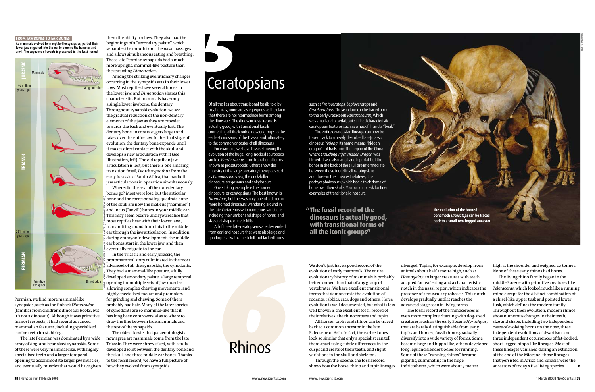### **FROM JAWBONES TO EAR BONES**

As mammals evolved from reptile-like synapsids, part of their<br>lower jaw migrated into the ear to become the hammer and anvil. The sequence of events is preserved in the fossil record

synapsids, such as the finback *Dimetrodon* (familiar from children's dinosaur books, but it's not a dinosaur). Although it was primitive in most respects, it had several advanced mammalian features, including specialised canine teeth for stabbing.

The late Permian was dominated by a wide array of dog- and bear-sized synapsids. Some of these were very mammal-like, with highly specialised teeth and a larger temporal opening to accommodate larger jaw muscles, and eventually muscles that would have given Of all the lies about transitional fossils told by creationists, none are as egregious as the claim that there are no intermediate forms among the dinosaurs. The dinosaur fossil record is actually good, with transitional fossils connecting all the iconic dinosaur groups to the earliest dinosaurs of the Triassic and, ultimately, to the common ancestor of all dinosaurs.

For example, we have fossils showing the evolution of the huge, long-necked sauropods such as *Brachiosaurus* from transitional forms known as prosauropods. Others show the ancestry of the large predatory theropods such as *Tyrannosaurus rex*, the duck-billed dinosaurs, stegosaurs and ankylosaurs.

One striking example is the horned dinosaurs, or ceratopsians. The best known is *Triceratops*, but this was only one of a dozen or more horned dinosaurs wandering around in the late Cretaceous with numerous variations including the number and shape of horns, and size and shape of neck frills.

All of these late ceratopsians are descended from earlier dinosaurs that were also large and quadrupedal with a neck frill, but lacked horns,



**The evolution of the horned behemoth** *Triceratops* **can be traced back to a small two-legged ancestor**

 **" The fossil record of the dinosaurs is actually good, with transitional forms of all the iconic groups"** 



them the ability to chew. They also had the beginnings of a "secondary palate", which separates the mouth from the nasal passages and allows simultaneous eating and breathing. These late Permian synapsids had a much more upright, mammal-like posture than the sprawling *Dimetrodon*.

Among the striking evolutionary changes occurring in the synapsids was in their lower jaws. Most reptiles have several bones in the lower jaw, and *Dimetrodon* shares this characteristic. But mammals have only a single lower jawbone, the dentary. Throughout synapsid evolution, we see the gradual reduction of the non-dentary elements of the jaw as they are crowded towards the back and eventually lost. The dentary bone, in contrast, gets larger and takes over the entire jaw. In the final stage of evolution, the dentary bone expands until it makes direct contact with the skull and develops a new articulation with it (see Illustration, left). The old reptilian jaw articulation is lost, but there is one amazing transition fossil, *Diarthrognathus* from the early Jurassic of South Africa, that has both jaw articulations in operation simultaneously.

Where did the rest of the non-dentary bones go? Most were lost, but the articular bone and the corresponding quadrate bone of the skull are now the malleus ("hammer") and incus ("anvil") bones in your middle ear. This may seem bizarre until you realise that most reptiles hear with their lower jaws, transmitting sound from this to the middle  $\bar{\xi}$  ear through the jaw articulation. In addition,  $\frac{1}{2}$  during embryonic development, the middle ear bones start in the lower jaw, and then eventually migrate to the ear.



In the Triassic and early Jurassic, the protomammal story culminated in the most advanced of all the synapsids, the cynodonts. They had a mammal-like posture, a fully developed secondary palate, a large temporal opening for multiple sets of jaw muscles allowing complex chewing movements, and highly specialised molars and premolars for grinding and chewing. Some of them probably had hair. Many of the later species of cynodonts are so mammal-like that it has long been controversial as to where to draw the line between true mammals and the rest of the synapsids.

The oldest fossils that palaeontologists now agree are mammals come from the late Triassic. They were shrew-sized, with a fully developed joint between the dentary bone and the skull, and three middle-ear bones. Thanks to the fossil record, we have a full picture of how they evolved from synapsids.



We don't just have a good record of the evolution of early mammals. The entire evolutionary history of mammals is probably better known than that of any group of vertebrates. We have excellent transitional forms that demonstrate the evolution of rodents, rabbits, cats, dogs and others. Horse evolution is well documented, but what is less well known is the excellent fossil record of their relatives, the rhinoceroses and tapirs.

All horses, tapirs and rhinos can be traced back to a common ancestor in the late Paleocene of Asia. In fact, the earliest ones look so similar that only a specialist can tell them apart using subtle differences in the cusps and crests of their teeth, and slight variations in the skull and skeleton.

Through the Eocene, the fossil record shows how the horse, rhino and tapir lineages

such as *Protoceratops, Leptoceratops* and *Graciliceratops*. These in turn can be traced back to the early Cretaceous *Psittacosaurus*, which was small and bipedal, but still had characteristic ceratopsian features such as a neck frill and a "beak".

The entire ceratopsian lineage can now be traced back to a newly described late Jurassic dinosaur, *Yinlong*. Its name means "hidden dragon" – it hails from the region of the China where *Crouching Tiger, Hidden Dragon* was filmed. It was also small and bipedal, but the bones in the back of the skull are intermediate between those found in all ceratopsians and those in their nearest relatives, the pachycephalosaurs, which had a thick dome of bone over their skulls. You could not ask for finer examples of transitional dinosaurs.

> diverged. Tapirs, for example, develop from animals about half a metre high, such as *Homogalax*, to larger creatures with teeth adapted for leaf eating and a characteristic notch in the nasal region, which indicates the presence of a muscular proboscis. This notch develops gradually until it reaches the advanced stage seen in living forms. The fossil record of the rhinoceroses is even more complete. Starting with dog-sized creatures, such as the early Eocene *Hyrachyus*, that are barely distinguishable from early tapirs and horses, fossil rhinos gradually diversify into a wide variety of forms. Some became large and hippo-like, others developed long legs and slender bodies for running. Some of these "running rhinos" became

gigantic, culminating in the huge indricotheres, which were about 7 metres high at the shoulder and weighed 20 tonnes. None of these early rhinos had horns.

The living rhino family began in the middle Eocene with primitive creatures like *Teletaceras*, which looked much like a running rhino except for the distinct combination of a chisel-like upper tusk and pointed lower tusk, which defines the modern family. Throughout their evolution, modern rhinos show numerous changes in their teeth, size and shape, including two independent cases of evolving horns on the nose, three independent evolutions of dwarfism, and three independent occurrences of fat-bodied, short-legged hippo-like lineages. Most of these lineages vanished during an extinction at the end of the Miocene; those lineages that persisted in Africa and Eurasia were the ancestors of today's five living species.